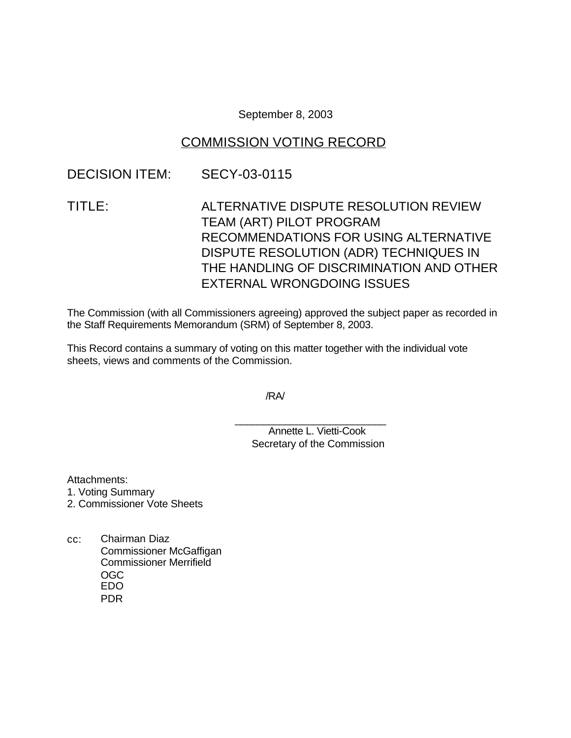September 8, 2003

# COMMISSION VOTING RECORD

# DECISION ITEM: SECY-03-0115

TITLE: ALTERNATIVE DISPUTE RESOLUTION REVIEW TEAM (ART) PILOT PROGRAM RECOMMENDATIONS FOR USING ALTERNATIVE DISPUTE RESOLUTION (ADR) TECHNIQUES IN THE HANDLING OF DISCRIMINATION AND OTHER EXTERNAL WRONGDOING ISSUES

The Commission (with all Commissioners agreeing) approved the subject paper as recorded in the Staff Requirements Memorandum (SRM) of September 8, 2003.

This Record contains a summary of voting on this matter together with the individual vote sheets, views and comments of the Commission.

/RA/

\_\_\_\_\_\_\_\_\_\_\_\_\_\_\_\_\_\_\_\_\_\_\_\_\_\_\_ Annette L. Vietti-Cook Secretary of the Commission

Attachments:

1. Voting Summary

- 2. Commissioner Vote Sheets
- cc: Chairman Diaz Commissioner McGaffigan Commissioner Merrifield OGC EDO PDR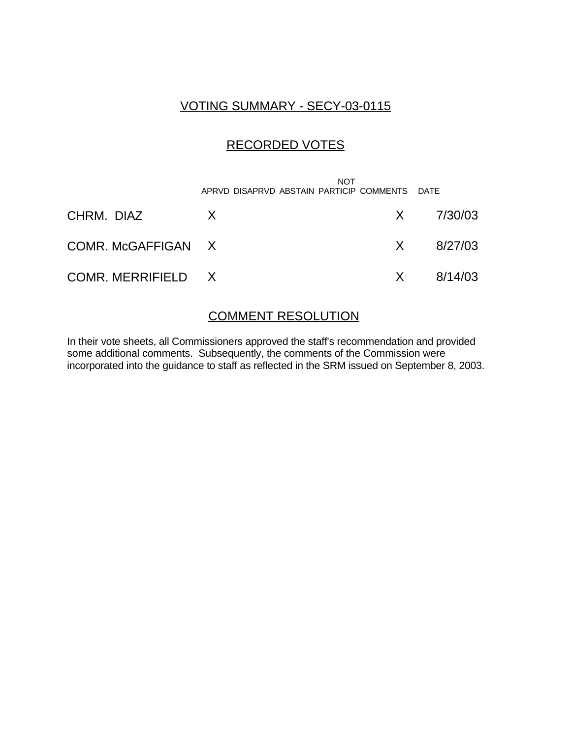# VOTING SUMMARY - SECY-03-0115

# RECORDED VOTES

|                    | <b>NOT</b><br>APRVD DISAPRVD ABSTAIN PARTICIP COMMENTS DATE |                       |
|--------------------|-------------------------------------------------------------|-----------------------|
| CHRM. DIAZ         | X                                                           | $X = \frac{7}{30/03}$ |
| COMR. McGAFFIGAN X |                                                             | $X = 8/27/03$         |
| COMR. MERRIFIELD X |                                                             | $X = 8/14/03$         |

## COMMENT RESOLUTION

In their vote sheets, all Commissioners approved the staff's recommendation and provided some additional comments. Subsequently, the comments of the Commission were incorporated into the guidance to staff as reflected in the SRM issued on September 8, 2003.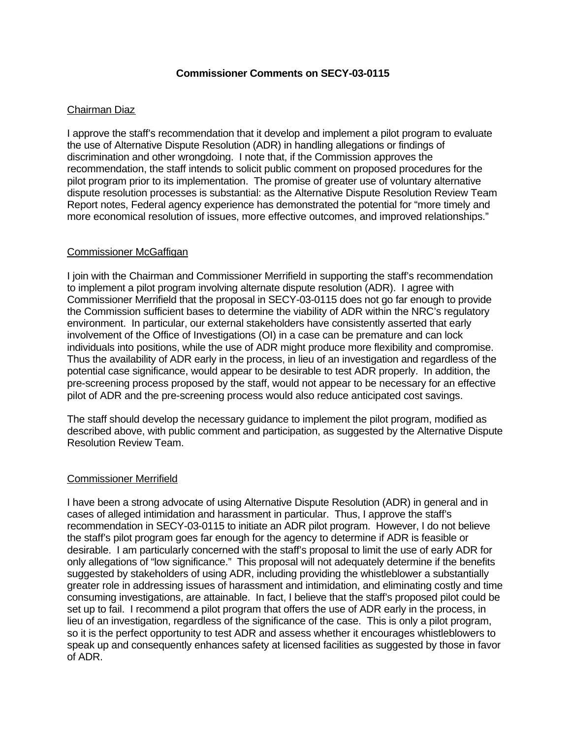### **Commissioner Comments on SECY-03-0115**

## Chairman Diaz

I approve the staff's recommendation that it develop and implement a pilot program to evaluate the use of Alternative Dispute Resolution (ADR) in handling allegations or findings of discrimination and other wrongdoing. I note that, if the Commission approves the recommendation, the staff intends to solicit public comment on proposed procedures for the pilot program prior to its implementation. The promise of greater use of voluntary alternative dispute resolution processes is substantial: as the Alternative Dispute Resolution Review Team Report notes, Federal agency experience has demonstrated the potential for "more timely and more economical resolution of issues, more effective outcomes, and improved relationships."

### Commissioner McGaffigan

I join with the Chairman and Commissioner Merrifield in supporting the staff's recommendation to implement a pilot program involving alternate dispute resolution (ADR). I agree with Commissioner Merrifield that the proposal in SECY-03-0115 does not go far enough to provide the Commission sufficient bases to determine the viability of ADR within the NRC's regulatory environment. In particular, our external stakeholders have consistently asserted that early involvement of the Office of Investigations (OI) in a case can be premature and can lock individuals into positions, while the use of ADR might produce more flexibility and compromise. Thus the availability of ADR early in the process, in lieu of an investigation and regardless of the potential case significance, would appear to be desirable to test ADR properly. In addition, the pre-screening process proposed by the staff, would not appear to be necessary for an effective pilot of ADR and the pre-screening process would also reduce anticipated cost savings.

The staff should develop the necessary guidance to implement the pilot program, modified as described above, with public comment and participation, as suggested by the Alternative Dispute Resolution Review Team.

### Commissioner Merrifield

I have been a strong advocate of using Alternative Dispute Resolution (ADR) in general and in cases of alleged intimidation and harassment in particular. Thus, I approve the staff's recommendation in SECY-03-0115 to initiate an ADR pilot program. However, I do not believe the staff's pilot program goes far enough for the agency to determine if ADR is feasible or desirable. I am particularly concerned with the staff's proposal to limit the use of early ADR for only allegations of "low significance." This proposal will not adequately determine if the benefits suggested by stakeholders of using ADR, including providing the whistleblower a substantially greater role in addressing issues of harassment and intimidation, and eliminating costly and time consuming investigations, are attainable. In fact, I believe that the staff's proposed pilot could be set up to fail. I recommend a pilot program that offers the use of ADR early in the process, in lieu of an investigation, regardless of the significance of the case. This is only a pilot program, so it is the perfect opportunity to test ADR and assess whether it encourages whistleblowers to speak up and consequently enhances safety at licensed facilities as suggested by those in favor of ADR.